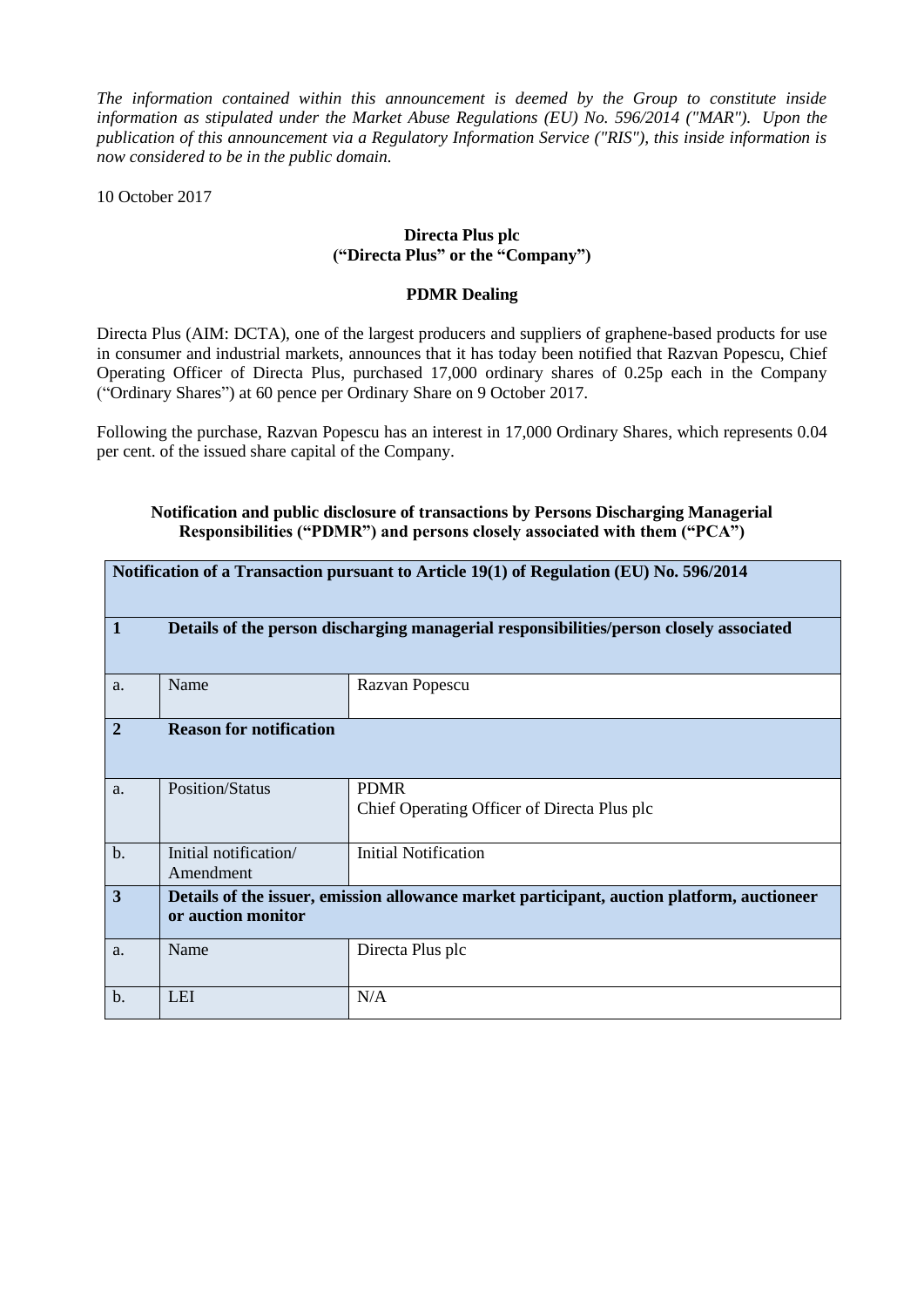*The information contained within this announcement is deemed by the Group to constitute inside information as stipulated under the Market Abuse Regulations (EU) No. 596/2014 ("MAR"). Upon the publication of this announcement via a Regulatory Information Service ("RIS"), this inside information is now considered to be in the public domain.*

10 October 2017

## **Directa Plus plc ("Directa Plus" or the "Company")**

## **PDMR Dealing**

Directa Plus (AIM: DCTA), one of the largest producers and suppliers of graphene-based products for use in consumer and industrial markets, announces that it has today been notified that Razvan Popescu, Chief Operating Officer of Directa Plus, purchased 17,000 ordinary shares of 0.25p each in the Company ("Ordinary Shares") at 60 pence per Ordinary Share on 9 October 2017.

Following the purchase, Razvan Popescu has an interest in 17,000 Ordinary Shares, which represents 0.04 per cent. of the issued share capital of the Company.

## **Notification and public disclosure of transactions by Persons Discharging Managerial Responsibilities ("PDMR") and persons closely associated with them ("PCA")**

| Notification of a Transaction pursuant to Article 19(1) of Regulation (EU) No. 596/2014 |                                                                                                                  |                                                            |  |  |  |
|-----------------------------------------------------------------------------------------|------------------------------------------------------------------------------------------------------------------|------------------------------------------------------------|--|--|--|
| $\vert$ 1                                                                               | Details of the person discharging managerial responsibilities/person closely associated                          |                                                            |  |  |  |
| a.                                                                                      | Name                                                                                                             | Razvan Popescu                                             |  |  |  |
| $\overline{2}$                                                                          | <b>Reason for notification</b>                                                                                   |                                                            |  |  |  |
| a.                                                                                      | <b>Position/Status</b>                                                                                           | <b>PDMR</b><br>Chief Operating Officer of Directa Plus plc |  |  |  |
| b.                                                                                      | Initial notification/<br>Amendment                                                                               | <b>Initial Notification</b>                                |  |  |  |
| $\overline{\mathbf{3}}$                                                                 | Details of the issuer, emission allowance market participant, auction platform, auctioneer<br>or auction monitor |                                                            |  |  |  |
| a.                                                                                      | Name                                                                                                             | Directa Plus plc                                           |  |  |  |
| $b$ .                                                                                   | <b>LEI</b>                                                                                                       | N/A                                                        |  |  |  |